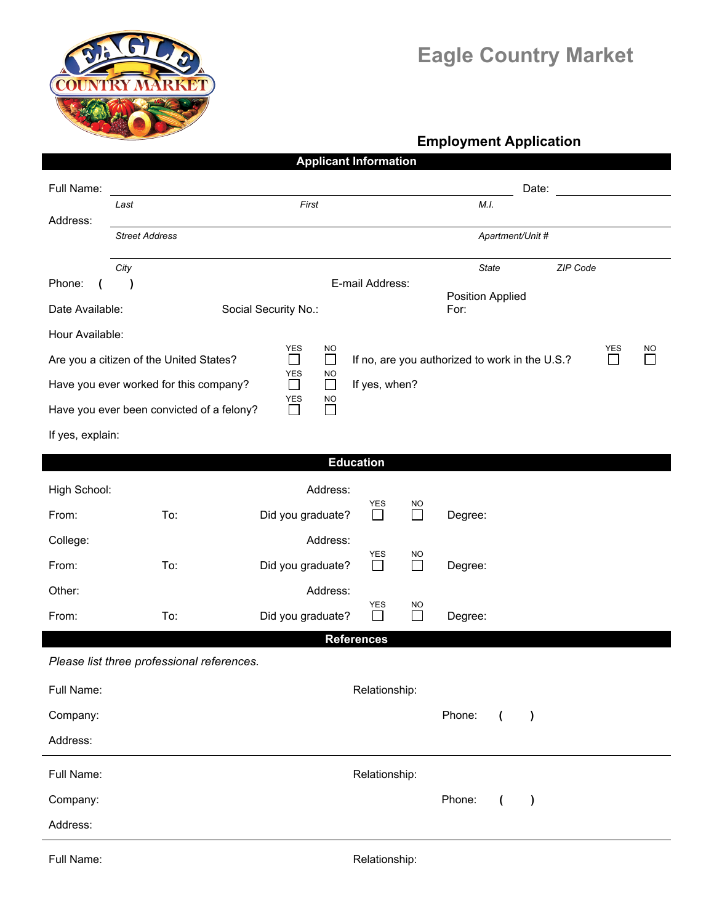

## **Eagle Country Market**

## **Employment Application**

|                                                                                                                                             |                                            | <b>Applicant Information</b>         |                   |                    |                  |                |           |  |              |  |  |
|---------------------------------------------------------------------------------------------------------------------------------------------|--------------------------------------------|--------------------------------------|-------------------|--------------------|------------------|----------------|-----------|--|--------------|--|--|
| Full Name:                                                                                                                                  |                                            |                                      |                   |                    |                  | Date:          |           |  |              |  |  |
| Address:                                                                                                                                    | First<br>Last                              |                                      |                   |                    | M.I.             |                |           |  |              |  |  |
|                                                                                                                                             | <b>Street Address</b>                      |                                      |                   |                    | Apartment/Unit # |                |           |  |              |  |  |
|                                                                                                                                             | City                                       |                                      |                   |                    | <b>State</b>     |                | ZIP Code  |  |              |  |  |
| Phone:                                                                                                                                      | $\lambda$                                  | E-mail Address:                      |                   | Position Applied   |                  |                |           |  |              |  |  |
| Date Available:                                                                                                                             |                                            | Social Security No.:                 |                   |                    | For:             |                |           |  |              |  |  |
| Hour Available:                                                                                                                             |                                            | <b>YES</b>                           |                   |                    |                  |                |           |  | NO           |  |  |
| NO<br><b>YES</b><br>$\Box$<br>$\Box$<br>$\Box$<br>If no, are you authorized to work in the U.S.?<br>Are you a citizen of the United States? |                                            |                                      |                   |                    |                  |                |           |  | $\mathsf{L}$ |  |  |
| <b>YES</b><br><b>NO</b><br>If yes, when?<br>Have you ever worked for this company?<br>$\Box$<br>$\Box$                                      |                                            |                                      |                   |                    |                  |                |           |  |              |  |  |
|                                                                                                                                             | Have you ever been convicted of a felony?  | <b>YES</b><br>NO<br>$\Box$<br>$\Box$ |                   |                    |                  |                |           |  |              |  |  |
| If yes, explain:                                                                                                                            |                                            |                                      |                   |                    |                  |                |           |  |              |  |  |
| <b>Education</b>                                                                                                                            |                                            |                                      |                   |                    |                  |                |           |  |              |  |  |
| High School:                                                                                                                                |                                            | Address:                             |                   |                    |                  |                |           |  |              |  |  |
| From:                                                                                                                                       | To:                                        | Did you graduate?                    | YES<br>$\Box$     | NO<br>$\Box$       | Degree:          |                |           |  |              |  |  |
| College:                                                                                                                                    |                                            | Address:                             |                   |                    |                  |                |           |  |              |  |  |
| From:                                                                                                                                       | To:                                        | Did you graduate?                    | YES<br>$\Box$     | NO<br>$\Box$       | Degree:          |                |           |  |              |  |  |
| Other:                                                                                                                                      |                                            | Address:                             |                   |                    |                  |                |           |  |              |  |  |
| From:                                                                                                                                       | To:                                        | Did you graduate?                    | YES<br>ΙI         | NO<br>$\mathbf{I}$ | Degree:          |                |           |  |              |  |  |
|                                                                                                                                             |                                            |                                      | <b>References</b> |                    |                  |                |           |  |              |  |  |
|                                                                                                                                             | Please list three professional references. |                                      |                   |                    |                  |                |           |  |              |  |  |
| Full Name:                                                                                                                                  |                                            |                                      | Relationship:     |                    |                  |                |           |  |              |  |  |
| Company:                                                                                                                                    |                                            |                                      |                   |                    | Phone:           | $\overline{ }$ | $\lambda$ |  |              |  |  |
| Address:                                                                                                                                    |                                            |                                      |                   |                    |                  |                |           |  |              |  |  |
| Full Name:                                                                                                                                  |                                            | Relationship:                        |                   |                    |                  |                |           |  |              |  |  |
| Company:                                                                                                                                    |                                            |                                      |                   |                    | Phone:           | $\overline{ }$ | $\lambda$ |  |              |  |  |
| Address:                                                                                                                                    |                                            |                                      |                   |                    |                  |                |           |  |              |  |  |
| Full Name:                                                                                                                                  |                                            |                                      | Relationship:     |                    |                  |                |           |  |              |  |  |